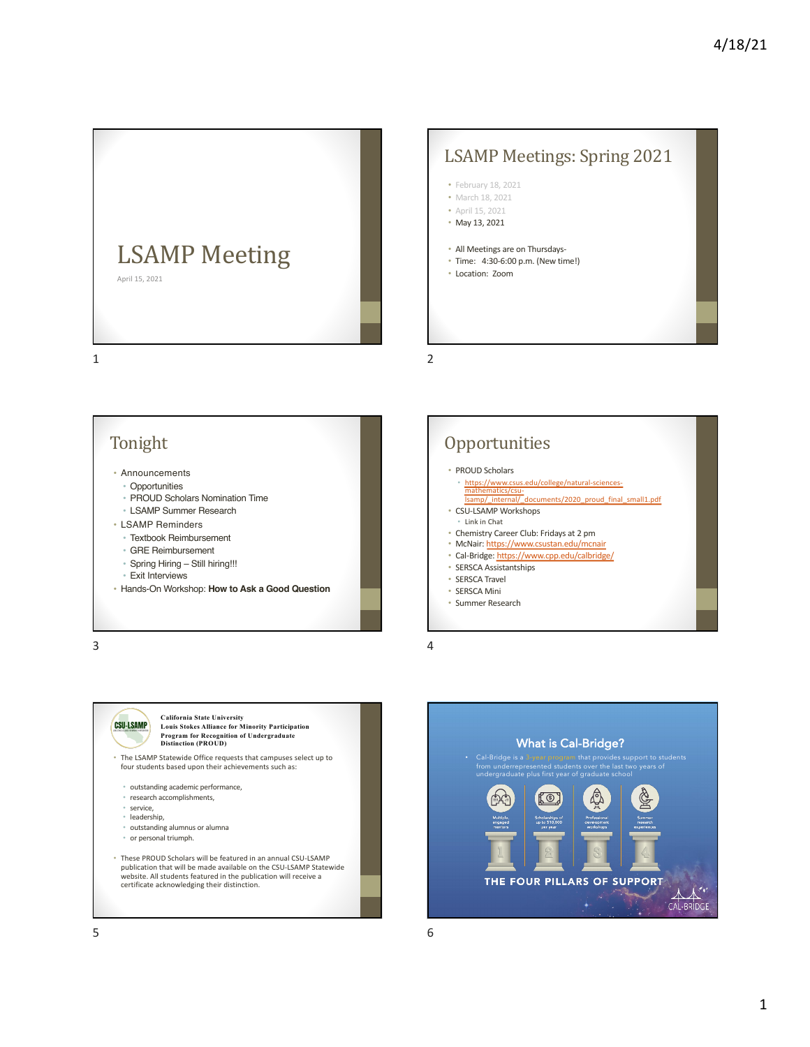

## LSAMP Meetings: Spring 2021

- February 18, 2021
- March 18, 2021
- April 15, 2021
- May 13, 2021
- All Meetings are on Thursdays-
- Time: 4:30-6:00 p.m. (New time!)
- Location: Zoom

1

• Announcements

Tonight

- Opportunities
- PROUD [Scholars Nominat](https://www.csus.edu/college/natural-sciences-mathematics/csu-lsamp/_internal/_documents/2020_proud_final_small1.pdf)ion Time
- LSAMP Summer Research
- LSAMP Reminders
	- Textbook Reimbursement
	- [GRE Reimburs](https://www.cpp.edu/calbridge/)ement
	- Spring Hiring Still hiring!!!
	- Exit Interviews
- Hands-On Workshop: **How to Ask a Good Question**

3



#### • PROUD Scholars

- https://www.csus.edu/college/natural-sciences $airics/cs$ lsamp/\_internal/\_documents/2020\_proud\_final\_small1.pdf
- CSU-LSAMP Workshops
- Link in Chat
- Chemistry Career Club: Fridays at 2 pm • McNair: https://www.csustan.edu/mcnair
- Cal-Bridge: https://www.cpp.edu/calbridge/
- SERSCA Assistantships
- SERSCA Travel
- SERSCA Mini
- Summer Research

4

2



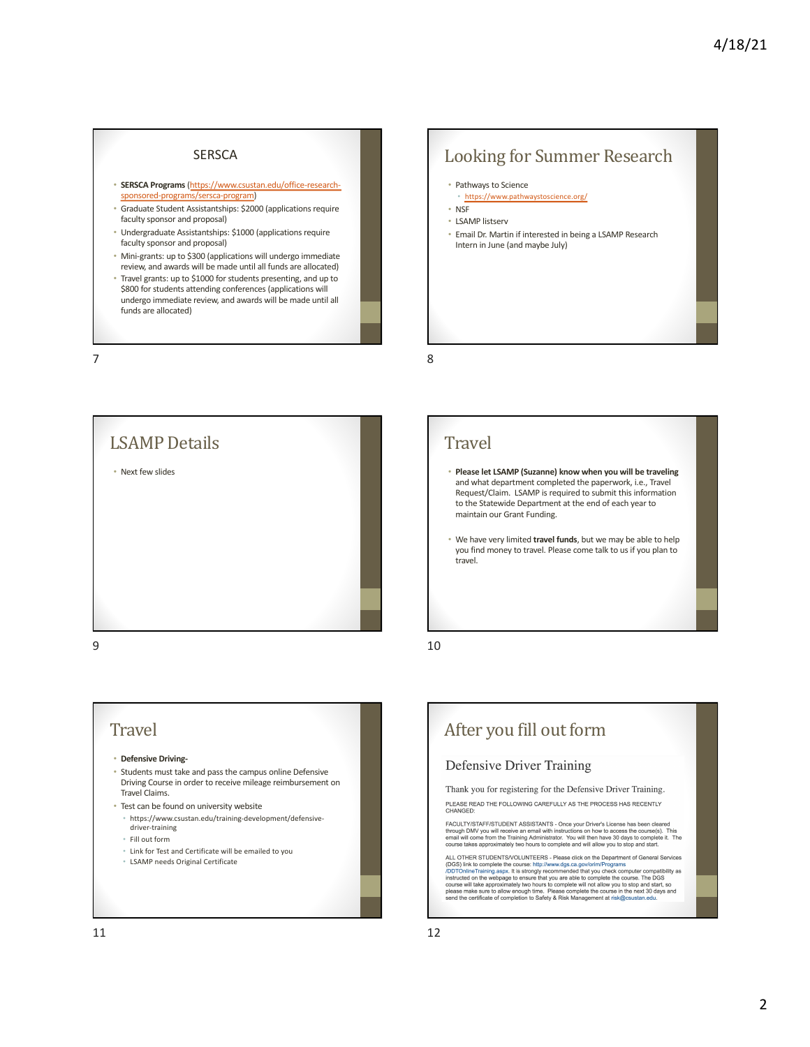#### **SERSCA**

- **SERSCA Programs**(https://www.csustan.edu/office-research[sponsored-programs/sersca-program](https://www.csustan.edu/office-research-sponsored-programs/sersca-program))
- Graduate Student Assistantships: \$2000 (applications require faculty sponsor and proposal)
- Undergraduate Assistantships: \$1000 (applications require faculty sponsor and proposal)
- Mini-grants: up to \$300 (applications will undergo immediate review, and awards will be made until all funds are allocated)
- Travel grants: up to \$1000 for students presenting, and up to \$800 for students attending conferences (applications will undergo immediate review, and awards will be made until all funds are allocated)

7



# Travel

#### • **Defensive Driving-**

- Students must take and pass the campus online Defensive Driving Course in order to receive mileage reimbursement on Travel Claims.
- Test can be found on university website
- https://www.csustan.edu/training-development/defensive-
- driver-training
- Fill out form
- Link for Test and Certificate will be emailed to you • LSAMP needs Original Certificate

### Looking for Summer Research

- Pathways to Science
- https://www.pathwaystoscience.org/
- NSF
- LSAMP listserv
- Email Dr. Martin if interested in being a LSAMP Research Intern in June (and maybe July)

8

#### **Travel**

- **Please let LSAMP (Suzanne) know when you will be traveling**  and what department completed the paperwork, i.e., Travel Request/Claim. LSAMP is required to submit this information to the Statewide Department at the end of each year to maintain our Grant Funding.
- We have very limited **travel funds**, but we may be able to help you find money to travel. Please come talk to us if you plan to travel.

10

# After you fill out form **Defensive Driver Training** Thank you for registering for the Defensive Driver Training. PLEASE READ THE FOLLOWING CAREFULLY AS THE PROCESS HAS RECENTLY<br>CHANGED:

FACULTY/STAFF/STUDENT ASSISTANTS - Once your Driver's License has been cleared<br>through DMV you will receive an email with instructions on how to access the course(s). This<br>email will come from the Training Administrator. Y

ALL OTHER STUDENTS/VOLUNTEERS - Please click on the Department of General Services<br>(DGS) link to complete the course: http://www.dgs.ca.gov/orim/Programs<br>/DDTOnlineTraining.aspx. It is strongly ecommended that you check co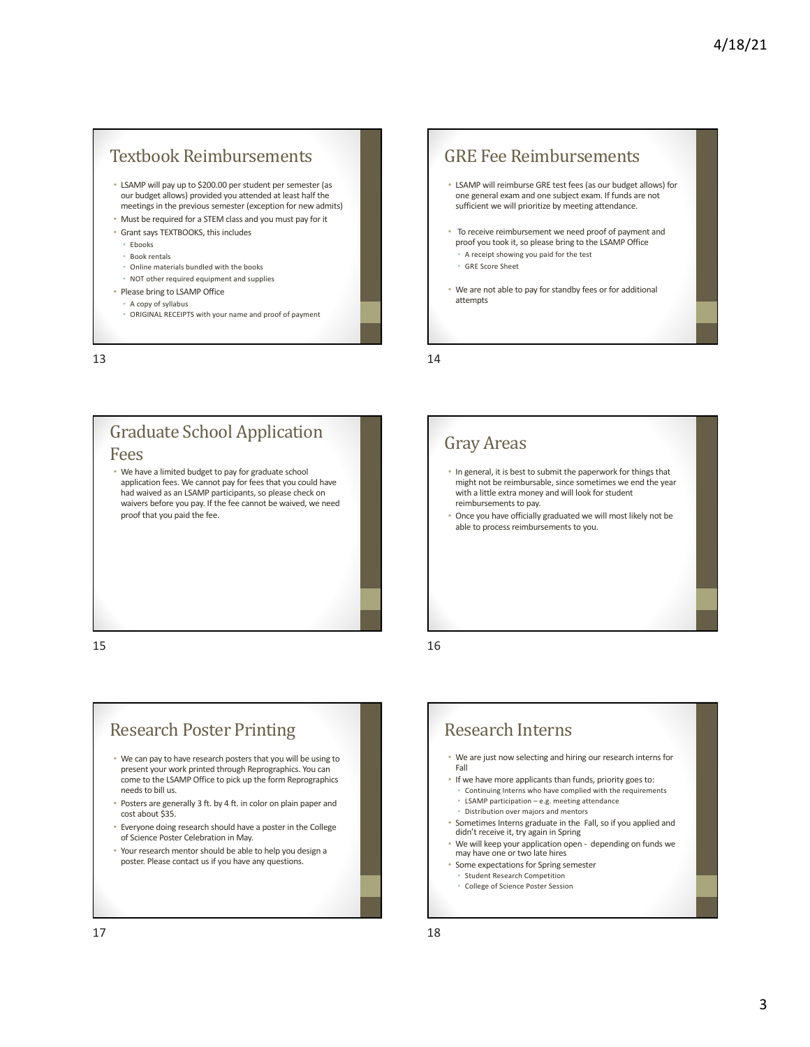### Textbook Reimbursements

- LSAMP will pay up to \$200.00 per student per semester (as our budget allows) provided you attended at least half the meetings in the previous semester (exception for new admits)
- Must be required for a STEM class and you must pay for it
- Grant says TEXTBOOKS, this includes
- Ebooks
- Book rentals
- Online materials bundled with the books
- NOT other required equipment and supplies
- Please bring to LSAMP Office
	- A copy of syllabus
	- ORIGINAL RECEIPTS with your name and proof of payment

13

#### Fees

• We have a limited budget to pay for graduate school application fees. We cannot pay for fees that you could have had waived as an LSAMP participants, so please check on waivers before you pay. If the fee cannot be waived, we need proof that you paid the fee.

**Graduate School Application** 

15

## **Research Poster Printing**

- We can pay to have research posters that you will be using to present your work printed through Reprographics. You can come to the LSAMP Office to pick up the form Reprographics needs to bill us.
- Posters are generally 3 ft. by 4 ft. in color on plain paper and cost about \$35.
- Everyone doing research should have a poster in the College of Science Poster Celebration in May.
- Your research mentor should be able to help you design a poster. Please contact us if you have any questions.

#### **GRE** Fee Reimbursements

- LSAMP will reimburse GRE test fees (as our budget allows) for one general exam and one subject exam. If funds are not sufficient we will prioritize by meeting attendance.
- To receive reimbursement we need proof of payment and proof you took it, so please bring to the LSAMP Office • A receipt showing you paid for the test
	- GRE Score Sheet
- We are not able to pay for standby fees or for additional attempts

14

## Gray Areas

- In general, it is best to submit the paperwork for things that might not be reimbursable, since sometimes we end the year with a little extra money and will look for student reimbursements to pay.
- Once you have officially graduated we will most likely not be able to process reimbursements to you.

16

## Research Interns

- We are just now selecting and hiring our research interns for Fall
- If we have more applicants than funds, priority goes to:
	- Continuing Interns who have complied with the requirements • LSAMP participation – e.g. meeting attendance
	- Distribution over majors and mentors
- Sometimes Interns graduate in the Fall, so if you applied and didn't receive it, try again in Spring
- We will keep your application open depending on funds we may have one or two late hires
- Some expectations for Spring semester
	- Student Research Competition • College of Science Poster Session
		-